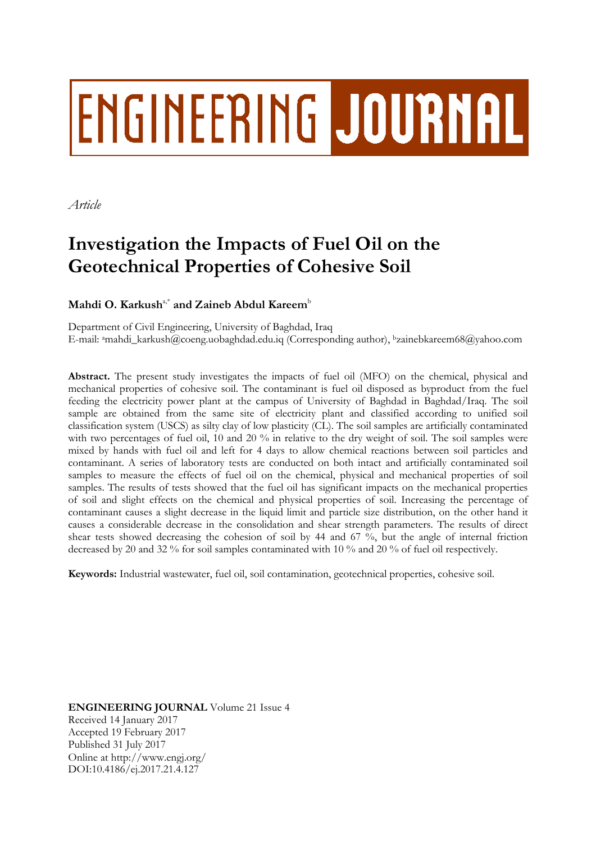# **ENGINEERING JOURNAL**

*Article*

## **Investigation the Impacts of Fuel Oil on the Geotechnical Properties of Cohesive Soil**

### **Mahdi O. Karkush**a,\* **and Zaineb Abdul Kareem**<sup>b</sup>

Department of Civil Engineering, University of Baghdad, Iraq E-mail: <sup>a</sup>mahdi\_karkush@coeng.uobaghdad.edu.iq (Corresponding author), <sup>b</sup>zainebkareem68@yahoo.com

**Abstract.** The present study investigates the impacts of fuel oil (MFO) on the chemical, physical and mechanical properties of cohesive soil. The contaminant is fuel oil disposed as byproduct from the fuel feeding the electricity power plant at the campus of University of Baghdad in Baghdad/Iraq. The soil sample are obtained from the same site of electricity plant and classified according to unified soil classification system (USCS) as silty clay of low plasticity (CL). The soil samples are artificially contaminated with two percentages of fuel oil, 10 and 20 % in relative to the dry weight of soil. The soil samples were mixed by hands with fuel oil and left for 4 days to allow chemical reactions between soil particles and contaminant. A series of laboratory tests are conducted on both intact and artificially contaminated soil samples to measure the effects of fuel oil on the chemical, physical and mechanical properties of soil samples. The results of tests showed that the fuel oil has significant impacts on the mechanical properties of soil and slight effects on the chemical and physical properties of soil. Increasing the percentage of contaminant causes a slight decrease in the liquid limit and particle size distribution, on the other hand it causes a considerable decrease in the consolidation and shear strength parameters. The results of direct shear tests showed decreasing the cohesion of soil by 44 and 67 %, but the angle of internal friction decreased by 20 and 32 % for soil samples contaminated with 10 % and 20 % of fuel oil respectively.

**Keywords:** Industrial wastewater, fuel oil, soil contamination, geotechnical properties, cohesive soil.

**ENGINEERING JOURNAL** Volume 21 Issue 4 Received 14 January 2017 Accepted 19 February 2017 Published 31 July 2017 Online at http://www.engj.org/ DOI:10.4186/ej.2017.21.4.127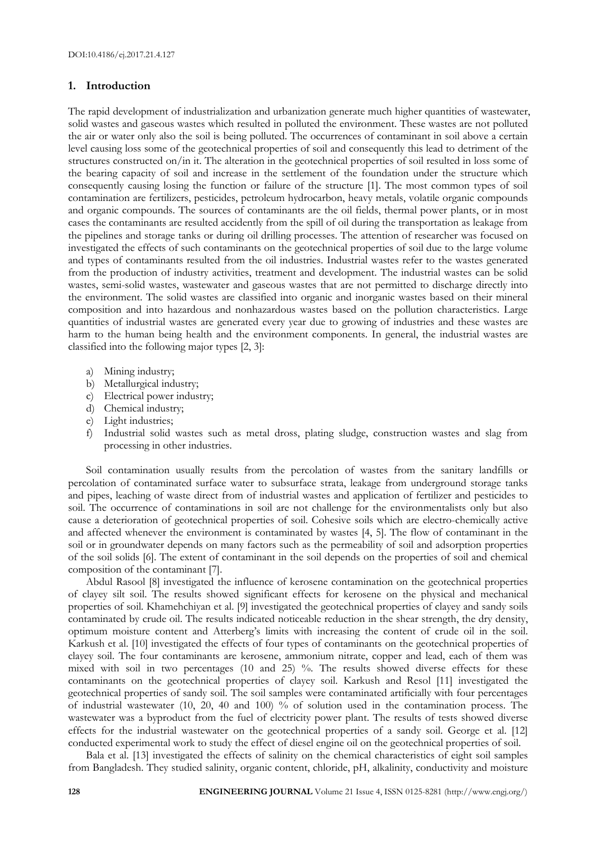#### **1. Introduction**

The rapid development of industrialization and urbanization generate much higher quantities of wastewater, solid wastes and gaseous wastes which resulted in polluted the environment. These wastes are not polluted the air or water only also the soil is being polluted. The occurrences of contaminant in soil above a certain level causing loss some of the geotechnical properties of soil and consequently this lead to detriment of the structures constructed on/in it. The alteration in the geotechnical properties of soil resulted in loss some of the bearing capacity of soil and increase in the settlement of the foundation under the structure which consequently causing losing the function or failure of the structure [1]. The most common types of soil contamination are fertilizers, pesticides, petroleum hydrocarbon, heavy metals, volatile organic compounds and organic compounds. The sources of contaminants are the oil fields, thermal power plants, or in most cases the contaminants are resulted accidently from the spill of oil during the transportation as leakage from the pipelines and storage tanks or during oil drilling processes. The attention of researcher was focused on investigated the effects of such contaminants on the geotechnical properties of soil due to the large volume and types of contaminants resulted from the oil industries. Industrial wastes refer to the wastes generated from the production of industry activities, treatment and development. The industrial wastes can be solid wastes, semi-solid wastes, wastewater and gaseous wastes that are not permitted to discharge directly into the environment. The solid wastes are classified into organic and inorganic wastes based on their mineral composition and into hazardous and nonhazardous wastes based on the pollution characteristics. Large quantities of industrial wastes are generated every year due to growing of industries and these wastes are harm to the human being health and the environment components. In general, the industrial wastes are classified into the following major types [2, 3]:

- a) Mining industry;
- b) Metallurgical industry;
- c) Electrical power industry;
- d) Chemical industry;
- e) Light industries;
- f) Industrial solid wastes such as metal dross, plating sludge, construction wastes and slag from processing in other industries.

Soil contamination usually results from the percolation of wastes from the sanitary landfills or percolation of contaminated surface water to subsurface strata, leakage from underground storage tanks and pipes, leaching of waste direct from of industrial wastes and application of fertilizer and pesticides to soil. The occurrence of contaminations in soil are not challenge for the environmentalists only but also cause a deterioration of geotechnical properties of soil. Cohesive soils which are electro-chemically active and affected whenever the environment is contaminated by wastes [4, 5]. The flow of contaminant in the soil or in groundwater depends on many factors such as the permeability of soil and adsorption properties of the soil solids [6]. The extent of contaminant in the soil depends on the properties of soil and chemical composition of the contaminant [7].

Abdul Rasool [8] investigated the influence of kerosene contamination on the geotechnical properties of clayey silt soil. The results showed significant effects for kerosene on the physical and mechanical properties of soil. Khamehchiyan et al. [9] investigated the geotechnical properties of clayey and sandy soils contaminated by crude oil. The results indicated noticeable reduction in the shear strength, the dry density, optimum moisture content and Atterberg's limits with increasing the content of crude oil in the soil. Karkush et al. [10] investigated the effects of four types of contaminants on the geotechnical properties of clayey soil. The four contaminants are kerosene, ammonium nitrate, copper and lead, each of them was mixed with soil in two percentages (10 and 25) %. The results showed diverse effects for these contaminants on the geotechnical properties of clayey soil. Karkush and Resol [11] investigated the geotechnical properties of sandy soil. The soil samples were contaminated artificially with four percentages of industrial wastewater (10, 20, 40 and 100)  $\%$  of solution used in the contamination process. The wastewater was a byproduct from the fuel of electricity power plant. The results of tests showed diverse effects for the industrial wastewater on the geotechnical properties of a sandy soil. George et al. [12] conducted experimental work to study the effect of diesel engine oil on the geotechnical properties of soil.

Bala et al. [13] investigated the effects of salinity on the chemical characteristics of eight soil samples from Bangladesh. They studied salinity, organic content, chloride, pH, alkalinity, conductivity and moisture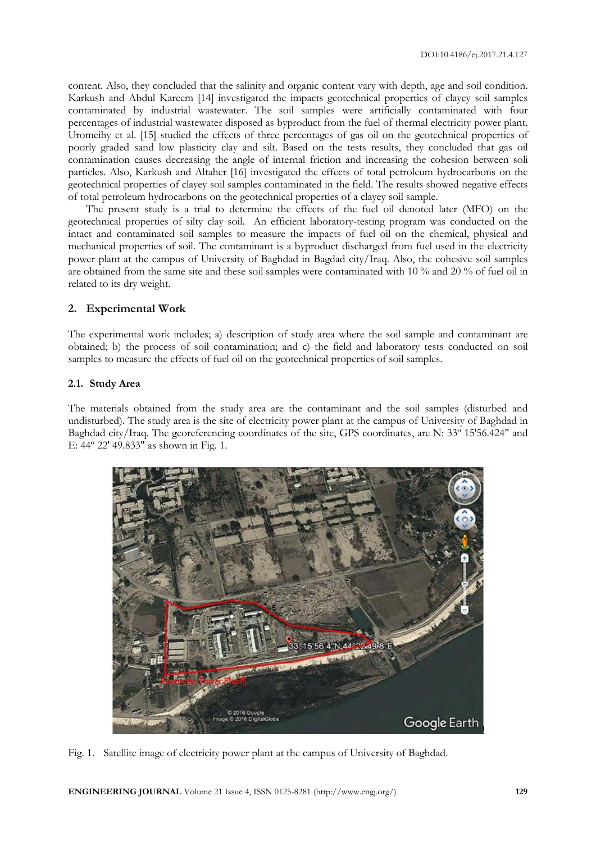content. Also, they concluded that the salinity and organic content vary with depth, age and soil condition. Karkush and Abdul Kareem [14] investigated the impacts geotechnical properties of clayey soil samples contaminated by industrial wastewater. The soil samples were artificially contaminated with four percentages of industrial wastewater disposed as byproduct from the fuel of thermal electricity power plant. Uromeihy et al. [15] studied the effects of three percentages of gas oil on the geotechnical properties of poorly graded sand low plasticity clay and silt. Based on the tests results, they concluded that gas oil contamination causes decreasing the angle of internal friction and increasing the cohesion between soli particles. Also, Karkush and Altaher [16] investigated the effects of total petroleum hydrocarbons on the geotechnical properties of clayey soil samples contaminated in the field. The results showed negative effects of total petroleum hydrocarbons on the geotechnical properties of a clayey soil sample.

The present study is a trial to determine the effects of the fuel oil denoted later (MFO) on the geotechnical properties of silty clay soil. An efficient laboratory-testing program was conducted on the intact and contaminated soil samples to measure the impacts of fuel oil on the chemical, physical and mechanical properties of soil. The contaminant is a byproduct discharged from fuel used in the electricity power plant at the campus of University of Baghdad in Bagdad city/Iraq. Also, the cohesive soil samples are obtained from the same site and these soil samples were contaminated with 10 % and 20 % of fuel oil in related to its dry weight.

#### **2. Experimental Work**

The experimental work includes; a) description of study area where the soil sample and contaminant are obtained; b) the process of soil contamination; and c) the field and laboratory tests conducted on soil samples to measure the effects of fuel oil on the geotechnical properties of soil samples.

#### **2.1. Study Area**

The materials obtained from the study area are the contaminant and the soil samples (disturbed and undisturbed). The study area is the site of electricity power plant at the campus of University of Baghdad in Baghdad city/Iraq. The georeferencing coordinates of the site, GPS coordinates, are N: 33º 15'56.424" and E: 44º 22' 49.833" as shown in Fig. 1.



Fig. 1. Satellite image of electricity power plant at the campus of University of Baghdad.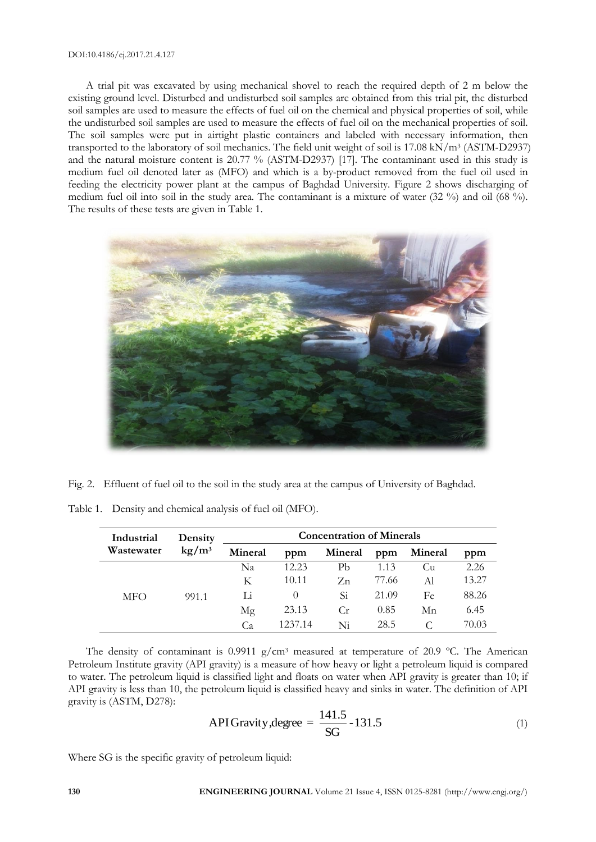#### DOI:10.4186/ej.2017.21.4.127

A trial pit was excavated by using mechanical shovel to reach the required depth of 2 m below the existing ground level. Disturbed and undisturbed soil samples are obtained from this trial pit, the disturbed soil samples are used to measure the effects of fuel oil on the chemical and physical properties of soil, while the undisturbed soil samples are used to measure the effects of fuel oil on the mechanical properties of soil. The soil samples were put in airtight plastic containers and labeled with necessary information, then transported to the laboratory of soil mechanics. The field unit weight of soil is 17.08 kN/m<sup>3</sup> (ASTM-D2937) and the natural moisture content is 20.77 % (ASTM-D2937) [17]. The contaminant used in this study is medium fuel oil denoted later as (MFO) and which is a by-product removed from the fuel oil used in feeding the electricity power plant at the campus of Baghdad University. Figure 2 shows discharging of medium fuel oil into soil in the study area. The contaminant is a mixture of water (32 %) and oil (68 %). The results of these tests are given in Table 1.



Fig. 2. Effluent of fuel oil to the soil in the study area at the campus of University of Baghdad.

Table 1. Density and chemical analysis of fuel oil (MFO).

| Industrial | Density<br>$\mathrm{kg}/\mathrm{m}^3$ | <b>Concentration of Minerals</b> |                  |         |       |         |       |  |  |
|------------|---------------------------------------|----------------------------------|------------------|---------|-------|---------|-------|--|--|
| Wastewater |                                       | Mineral                          | ppm              | Mineral | ppm   | Mineral | ppm   |  |  |
| <b>MFO</b> | 991.1                                 | Na                               | 12.23            | Рb      | 1.13  | Cu.     | 2.26  |  |  |
|            |                                       | К                                | 10.11            | $Z_{n}$ | 77.66 | Al      | 13.27 |  |  |
|            |                                       | Li                               | $\left( \right)$ | Si      | 21.09 | Fe      | 88.26 |  |  |
|            |                                       | Mg                               | 23.13            | Cr      | 0.85  | Mn      | 6.45  |  |  |
|            |                                       | Ca                               | 1237.14          | Ni      | 28.5  |         | 70.03 |  |  |

The density of contaminant is 0.9911  $g/cm^3$  measured at temperature of 20.9 °C. The [American](https://en.wikipedia.org/wiki/American_Petroleum_Institute) [Petroleum](https://en.wikipedia.org/wiki/American_Petroleum_Institute) Institute gravity (API gravity) is a measure of how heavy or light a [petroleum](https://en.wikipedia.org/wiki/Petroleum) liquid is compared to water. The [petroleum](https://en.wikipedia.org/wiki/Petroleum) liquid is classified light and floats on water when API gravity is greater than 10; if API gravity is less than 10, the [petroleum](https://en.wikipedia.org/wiki/Petroleum) liquid is classified heavy and sinks in water. The definition of API gravity is (ASTM, D278):

$$
API Gravity, degree = \frac{141.5}{SG} - 131.5
$$
 (1)

Where SG is the specific gravity of [petroleum](https://en.wikipedia.org/wiki/Petroleum) liquid: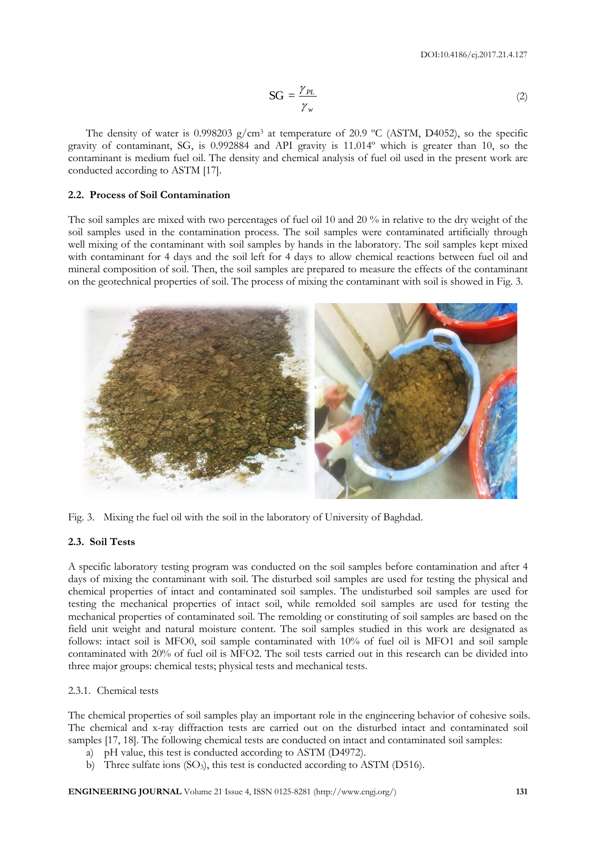$$
SG = \frac{\gamma_{PL}}{\gamma_w} \tag{2}
$$

The density of water is 0.998203 g/cm<sup>3</sup> at temperature of 20.9 °C (ASTM, D4052), so the specific gravity of contaminant, SG, is 0.992884 and API gravity is 11.014º which is greater than 10, so the contaminant is medium fuel oil. The density and chemical analysis of fuel oil used in the present work are conducted according to ASTM [17].

#### **2.2. Process of Soil Contamination**

The soil samples are mixed with two percentages of fuel oil 10 and 20 % in relative to the dry weight of the soil samples used in the contamination process. The soil samples were contaminated artificially through well mixing of the contaminant with soil samples by hands in the laboratory. The soil samples kept mixed with contaminant for 4 days and the soil left for 4 days to allow chemical reactions between fuel oil and mineral composition of soil. Then, the soil samples are prepared to measure the effects of the contaminant on the geotechnical properties of soil. The process of mixing the contaminant with soil is showed in Fig. 3.



Fig. 3. Mixing the fuel oil with the soil in the laboratory of University of Baghdad.

#### **2.3. Soil Tests**

A specific laboratory testing program was conducted on the soil samples before contamination and after 4 days of mixing the contaminant with soil. The disturbed soil samples are used for testing the physical and chemical properties of intact and contaminated soil samples. The undisturbed soil samples are used for testing the mechanical properties of intact soil, while remolded soil samples are used for testing the mechanical properties of contaminated soil. The remolding or constituting of soil samples are based on the field unit weight and natural moisture content. The soil samples studied in this work are designated as follows: intact soil is MFO0, soil sample contaminated with 10% of fuel oil is MFO1 and soil sample contaminated with 20% of fuel oil is MFO2. The soil tests carried out in this research can be divided into three major groups: chemical tests; physical tests and mechanical tests.

#### 2.3.1. Chemical tests

The chemical properties of soil samples play an important role in the engineering behavior of cohesive soils. The chemical and x-ray diffraction tests are carried out on the disturbed intact and contaminated soil samples [17, 18]. The following chemical tests are conducted on intact and contaminated soil samples:

- a) pH value, this test is conducted according to ASTM (D4972).
- b) Three sulfate ions (SO<sub>3</sub>), this test is conducted according to ASTM (D516).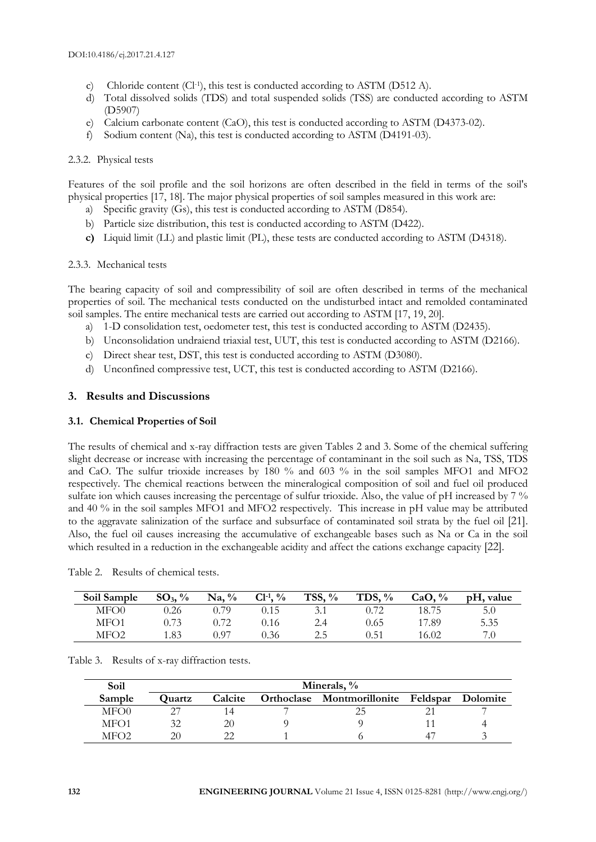- c) Chloride content (Cl-1 ), this test is conducted according to ASTM (D512 A).
- d) Total dissolved solids (TDS) and total suspended solids (TSS) are conducted according to ASTM (D5907)
- e) Calcium carbonate content (CaO), this test is conducted according to ASTM (D4373-02).
- f) Sodium content (Na), this test is conducted according to ASTM (D4191-03).

#### 2.3.2. Physical tests

Features of the soil profile and the soil horizons are often described in the field in terms of the soil's physical properties [17, 18]. The major physical properties of soil samples measured in this work are:

- a) Specific gravity (Gs), this test is conducted according to ASTM (D854).
- b) Particle size distribution, this test is conducted according to ASTM (D422).
- **c)** Liquid limit (LL) and plastic limit (PL), these tests are conducted according to ASTM (D4318).

#### 2.3.3. Mechanical tests

The bearing capacity of soil and compressibility of soil are often described in terms of the mechanical properties of soil. The mechanical tests conducted on the undisturbed intact and remolded contaminated soil samples. The entire mechanical tests are carried out according to ASTM [17, 19, 20].

- a) 1-D consolidation test, oedometer test, this test is conducted according to ASTM (D2435).
- b) Unconsolidation undraiend triaxial test, UUT, this test is conducted according to ASTM (D2166).
- c) Direct shear test, DST, this test is conducted according to ASTM (D3080).
- d) Unconfined compressive test, UCT, this test is conducted according to ASTM (D2166).

#### **3. Results and Discussions**

#### **3.1. Chemical Properties of Soil**

The results of chemical and x-ray diffraction tests are given Tables 2 and 3. Some of the chemical suffering slight decrease or increase with increasing the percentage of contaminant in the soil such as Na, TSS, TDS and CaO. The sulfur trioxide increases by 180 % and 603 % in the soil samples MFO1 and MFO2 respectively. The chemical reactions between the mineralogical composition of soil and fuel oil produced sulfate ion which causes increasing the percentage of sulfur trioxide. Also, the value of pH increased by 7 % and 40 % in the soil samples MFO1 and MFO2 respectively. This increase in pH value may be attributed to the aggravate salinization of the surface and subsurface of contaminated soil strata by the fuel oil [21]. Also, the fuel oil causes increasing the accumulative of exchangeable bases such as Na or Ca in the soil which resulted in a reduction in the exchangeable acidity and affect the cations exchange capacity [22].

| Soil Sample | $SO_3, \%$ | $Na, \%$ | $Cl^{-1}$ , % | TSS,<br>$\frac{0}{0}$ | TDS,<br>$\frac{0}{0}$ | CaO,<br>$\frac{0}{0}$ | pH, value |
|-------------|------------|----------|---------------|-----------------------|-----------------------|-----------------------|-----------|
| MFO0        | ).26       | J.79 -   | J.15          |                       |                       | 18.75                 | 5.0       |
| MFO1        | 0.73       | ).72     | J.16 -        | 2.4                   | 0.65                  | 17.89                 | 5.35      |
| MFO2        | 1.83       | ).97     | 0.36          | 2.5                   | 0.51                  | 16.02                 |           |

| Table 3. |  |  | Results of x-ray diffraction tests. |  |
|----------|--|--|-------------------------------------|--|
|----------|--|--|-------------------------------------|--|

| Soil   | Minerals, $\%$ |                |  |                                     |    |          |  |  |
|--------|----------------|----------------|--|-------------------------------------|----|----------|--|--|
| Sample | Quartz         | <b>Calcite</b> |  | Orthoclase Montmorillonite Feldspar |    | Dolomite |  |  |
| MFO0   |                |                |  |                                     |    |          |  |  |
| MFO1   |                |                |  |                                     |    |          |  |  |
| MFO2   |                |                |  |                                     | 47 |          |  |  |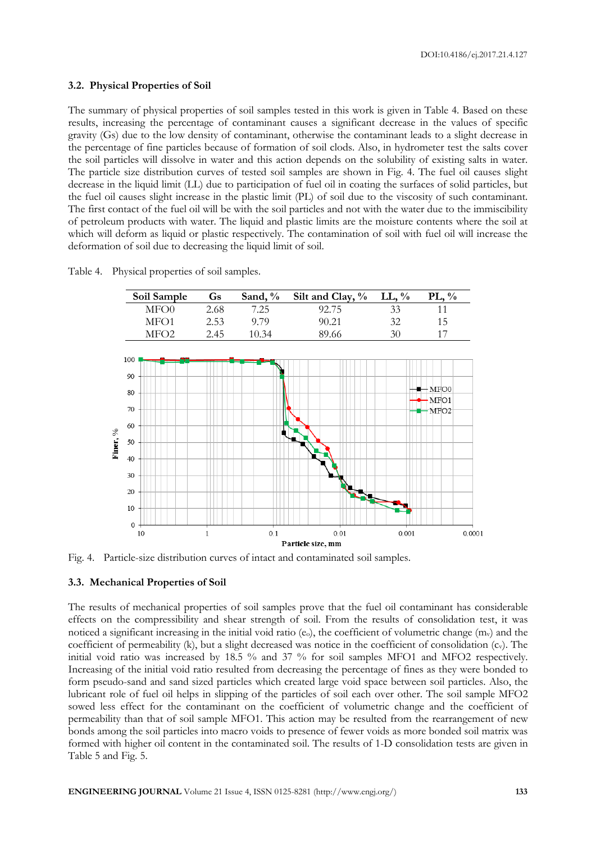#### **3.2. Physical Properties of Soil**

The summary of physical properties of soil samples tested in this work is given in Table 4. Based on these results, increasing the percentage of contaminant causes a significant decrease in the values of specific gravity (Gs) due to the low density of contaminant, otherwise the contaminant leads to a slight decrease in the percentage of fine particles because of formation of soil clods. Also, in hydrometer test the salts cover the soil particles will dissolve in water and this action depends on the solubility of existing salts in water. The particle size distribution curves of tested soil samples are shown in Fig. 4. The fuel oil causes slight decrease in the liquid limit (LL) due to participation of fuel oil in coating the surfaces of solid particles, but the fuel oil causes slight increase in the plastic limit (PL) of soil due to the viscosity of such contaminant. The first contact of the fuel oil will be with the soil particles and not with the water due to the immiscibility of petroleum products with water. The liquid and plastic limits are the moisture contents where the soil at which will deform as liquid or plastic respectively. The contamination of soil with fuel oil will increase the deformation of soil due to decreasing the liquid limit of soil.



Table 4. Physical properties of soil samples.

Fig. 4. Particle-size distribution curves of intact and contaminated soil samples.

#### **3.3. Mechanical Properties of Soil**

The results of mechanical properties of soil samples prove that the fuel oil contaminant has considerable effects on the compressibility and shear strength of soil. From the results of consolidation test, it was noticed a significant increasing in the initial void ratio (e<sub>o</sub>), the coefficient of volumetric change  $(m_v)$  and the coefficient of permeability (k), but a slight decreased was notice in the coefficient of consolidation  $(c_v)$ . The initial void ratio was increased by 18.5 % and 37 % for soil samples MFO1 and MFO2 respectively. Increasing of the initial void ratio resulted from decreasing the percentage of fines as they were bonded to form pseudo-sand and sand sized particles which created large void space between soil particles. Also, the lubricant role of fuel oil helps in slipping of the particles of soil each over other. The soil sample MFO2 sowed less effect for the contaminant on the coefficient of volumetric change and the coefficient of permeability than that of soil sample MFO1. This action may be resulted from the rearrangement of new bonds among the soil particles into macro voids to presence of fewer voids as more bonded soil matrix was formed with higher oil content in the contaminated soil. The results of 1-D consolidation tests are given in Table 5 and Fig. 5.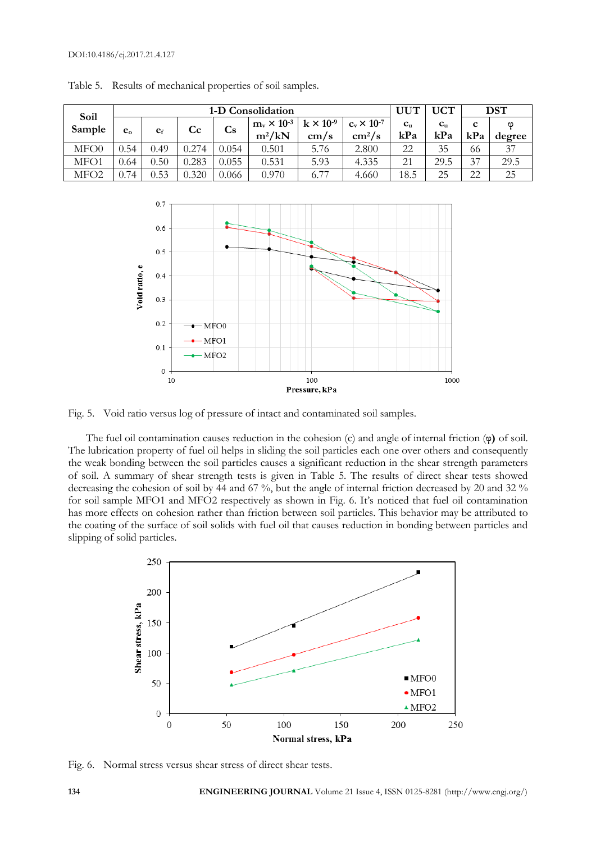| Soil             |         | 1-D Consolidation<br>$UU^{\tau}$ |           |       |                                  |                            |                                      |                 | <b>UCT</b>         | <b>DST</b> |        |
|------------------|---------|----------------------------------|-----------|-------|----------------------------------|----------------------------|--------------------------------------|-----------------|--------------------|------------|--------|
| Sample           | $e_{o}$ | e <sub>f</sub>                   | $\rm{Cc}$ | Сs    | $m_v \times 10^{-3}$<br>$m^2/kN$ | $k \times 10^{-9}$<br>cm/s | $c_v \times 10^{-7}$<br>$\rm cm^2/s$ | $C_{11}$<br>kPa | $c_{\rm u}$<br>kPa | c<br>kPa   | degree |
| MFO0             | 0.54    | 0.49                             | 0.274     | 0.054 | 0.501                            | 5.76                       | 2.800                                | 22              | 35                 | 66         | 37     |
| MFO1             | 0.64    | 0.50                             | 0.283     | 0.055 | 0.531                            | 5.93                       | 4.335                                | 21              | 29.5               | 37         | 29.5   |
| MFO <sub>2</sub> | 0.74    | 0.53                             | 0.320     | 0.066 | 0.970                            | 6.77                       | 4.660                                | 18.5            | 25                 | 22         | 25     |

Table 5. Results of mechanical properties of soil samples.



Fig. 5. Void ratio versus log of pressure of intact and contaminated soil samples.

The fuel oil contamination causes reduction in the cohesion (c) and angle of internal friction (**φ)** of soil. The lubrication property of fuel oil helps in sliding the soil particles each one over others and consequently the weak bonding between the soil particles causes a significant reduction in the shear strength parameters of soil. A summary of shear strength tests is given in Table 5. The results of direct shear tests showed decreasing the cohesion of soil by 44 and 67 %, but the angle of internal friction decreased by 20 and 32 % for soil sample MFO1 and MFO2 respectively as shown in Fig. 6. It's noticed that fuel oil contamination has more effects on cohesion rather than friction between soil particles. This behavior may be attributed to the coating of the surface of soil solids with fuel oil that causes reduction in bonding between particles and slipping of solid particles.



Fig. 6. Normal stress versus shear stress of direct shear tests.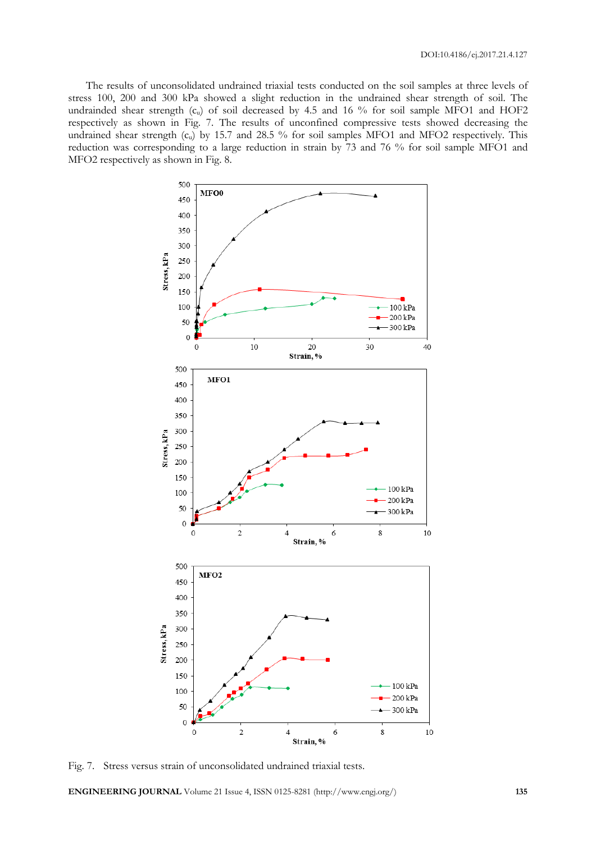The results of unconsolidated undrained triaxial tests conducted on the soil samples at three levels of stress 100, 200 and 300 kPa showed a slight reduction in the undrained shear strength of soil. The undrainded shear strength  $(c<sub>u</sub>)$  of soil decreased by 4.5 and 16 % for soil sample MFO1 and HOF2 respectively as shown in Fig. 7. The results of unconfined compressive tests showed decreasing the undrained shear strength (c<sub>u</sub>) by 15.7 and 28.5 % for soil samples MFO1 and MFO2 respectively. This reduction was corresponding to a large reduction in strain by 73 and 76 % for soil sample MFO1 and MFO2 respectively as shown in Fig. 8.



Fig. 7. Stress versus strain of unconsolidated undrained triaxial tests.

**ENGINEERING JOURNAL** Volume 21 Issue 4, ISSN 0125-8281 (http://www.engj.org/) **135**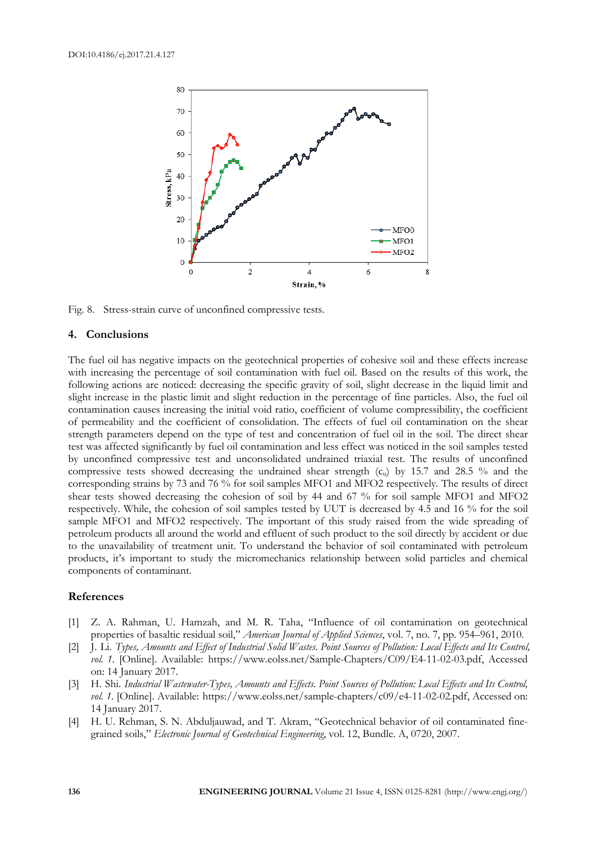

Fig. 8. Stress-strain curve of unconfined compressive tests.

#### **4. Conclusions**

The fuel oil has negative impacts on the geotechnical properties of cohesive soil and these effects increase with increasing the percentage of soil contamination with fuel oil. Based on the results of this work, the following actions are noticed: decreasing the specific gravity of soil, slight decrease in the liquid limit and slight increase in the plastic limit and slight reduction in the percentage of fine particles. Also, the fuel oil contamination causes increasing the initial void ratio, coefficient of volume compressibility, the coefficient of permeability and the coefficient of consolidation. The effects of fuel oil contamination on the shear strength parameters depend on the type of test and concentration of fuel oil in the soil. The direct shear test was affected significantly by fuel oil contamination and less effect was noticed in the soil samples tested by unconfined compressive test and unconsolidated undrained triaxial test. The results of unconfined compressive tests showed decreasing the undrained shear strength  $(c<sub>u</sub>)$  by 15.7 and 28.5 % and the corresponding strains by 73 and 76 % for soil samples MFO1 and MFO2 respectively. The results of direct shear tests showed decreasing the cohesion of soil by 44 and 67 % for soil sample MFO1 and MFO2 respectively. While, the cohesion of soil samples tested by UUT is decreased by 4.5 and 16 % for the soil sample MFO1 and MFO2 respectively. The important of this study raised from the wide spreading of petroleum products all around the world and effluent of such product to the soil directly by accident or due to the unavailability of treatment unit. To understand the behavior of soil contaminated with petroleum products, it's important to study the micromechanics relationship between solid particles and chemical components of contaminant.

#### **References**

- [1] Z. A. Rahman, U. Hamzah, and M. R. Taha, "Influence of oil contamination on geotechnical properties of basaltic residual soil," *American Journal of Applied Sciences*, vol. 7, no. 7, pp. 954–961, 2010.
- [2] J. Li. *Types, Amounts and Effect of Industrial Solid Wastes. Point Sources of Pollution: Local Effects and Its Control, vol. 1*. [Online]. Available: https://www.eolss.net/Sample-Chapters/C09/E4-11-02-03.pdf, Accessed on: 14 January 2017.
- [3] H. Shi. *Industrial Wastewater-Types, Amounts and Effects. Point Sources of Pollution: Local Effects and Its Control, vol.* 1. [Online]. Available: https://www.eolss.net/sample-chapters/c09/e4-11-02-02.pdf, Accessed on: 14 January 2017.
- [4] H. U. Rehman, S. N. Abduljauwad, and T. Akram, "Geotechnical behavior of oil contaminated finegrained soils," *Electronic Journal of Geotechnical Engineering*, vol. 12, Bundle. A, 0720, 2007.